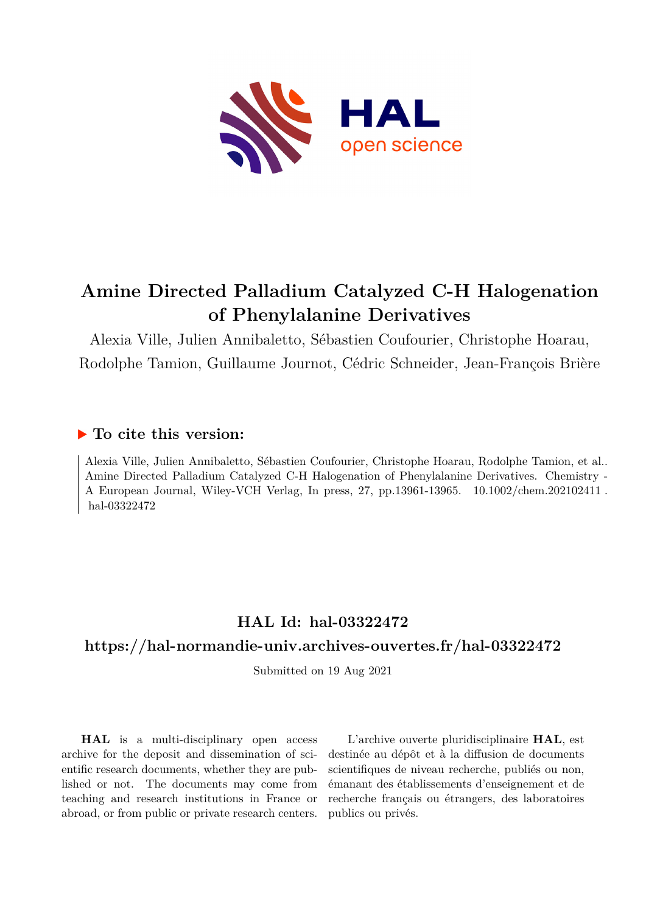

# **Amine Directed Palladium Catalyzed C-H Halogenation of Phenylalanine Derivatives**

Alexia Ville, Julien Annibaletto, Sébastien Coufourier, Christophe Hoarau, Rodolphe Tamion, Guillaume Journot, Cédric Schneider, Jean-François Brière

#### **To cite this version:**

Alexia Ville, Julien Annibaletto, Sébastien Coufourier, Christophe Hoarau, Rodolphe Tamion, et al.. Amine Directed Palladium Catalyzed C-H Halogenation of Phenylalanine Derivatives. Chemistry - A European Journal, Wiley-VCH Verlag, In press, 27, pp.13961-13965. 10.1002/chem.202102411. hal-03322472

# **HAL Id: hal-03322472**

#### **<https://hal-normandie-univ.archives-ouvertes.fr/hal-03322472>**

Submitted on 19 Aug 2021

**HAL** is a multi-disciplinary open access archive for the deposit and dissemination of scientific research documents, whether they are published or not. The documents may come from teaching and research institutions in France or abroad, or from public or private research centers.

L'archive ouverte pluridisciplinaire **HAL**, est destinée au dépôt et à la diffusion de documents scientifiques de niveau recherche, publiés ou non, émanant des établissements d'enseignement et de recherche français ou étrangers, des laboratoires publics ou privés.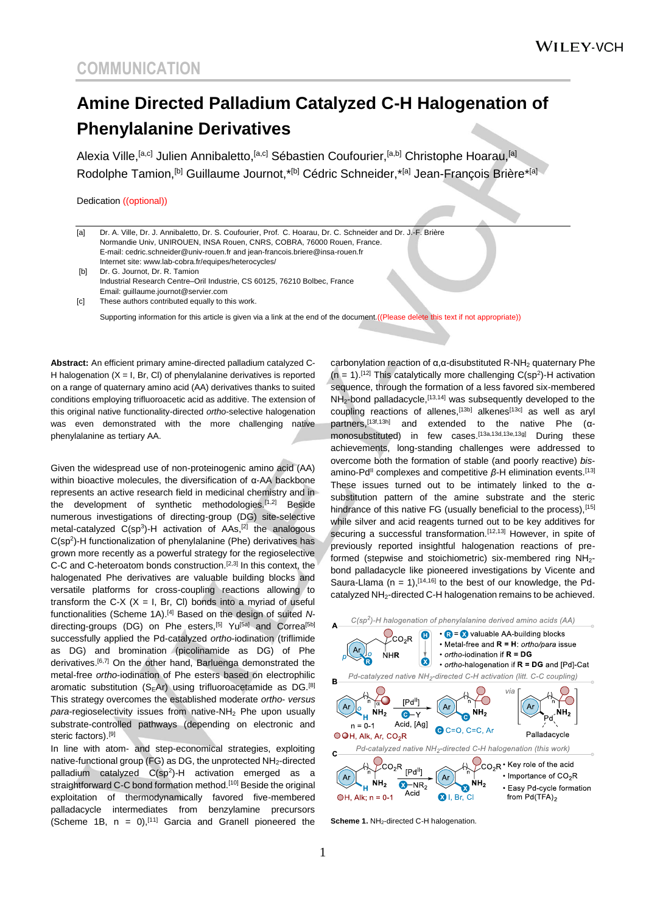# **Amine Directed Palladium Catalyzed C-H Halogenation of Phenylalanine Derivatives**

Alexia Ville, <sup>[a,c]</sup> Julien Annibaletto, <sup>[a,c]</sup> Sébastien Coufourier, <sup>[a,b]</sup> Christophe Hoarau, <sup>[a]</sup> Rodolphe Tamion,<sup>[b]</sup> Guillaume Journot,\*<sup>[b]</sup> Cédric Schneider,\*<sup>[a]</sup> Jean-François Brière\*<sup>[a]</sup>

Dedication ((optional))

| [a]               | Dr. A. Ville, Dr. J. Annibaletto, Dr. S. Coufourier, Prof. C. Hoarau, Dr. C. Schneider and Dr. J.-F. Brière |  |
|-------------------|-------------------------------------------------------------------------------------------------------------|--|
|                   | Normandie Univ, UNIROUEN, INSA Rouen, CNRS, COBRA, 76000 Rouen, France.                                     |  |
|                   | E-mail: cedric.schneider@univ-rouen.fr and jean-francois.briere@insa-rouen.fr                               |  |
|                   | Internet site: www.lab-cobra.fr/equipes/heterocycles/                                                       |  |
| [b]               | Dr. G. Journot, Dr. R. Tamion                                                                               |  |
|                   | Industrial Research Centre-Oril Industrie, CS 60125, 76210 Bolbec, France                                   |  |
|                   | Email: quillaume.journot@servier.com                                                                        |  |
| $\lceil c \rceil$ | These authors contributed equally to this work.                                                             |  |
|                   |                                                                                                             |  |

Supporting information for this article is given via a link at the end of the document. ((Please delete this text if not appropriate))

**Abstract:** An efficient primary amine-directed palladium catalyzed C-H halogenation  $(X = I, Br, Cl)$  of phenylalanine derivatives is reported on a range of quaternary amino acid (AA) derivatives thanks to suited conditions employing trifluoroacetic acid as additive. The extension of this original native functionality-directed *ortho*-selective halogenation was even demonstrated with the more challenging native phenylalanine as tertiary AA.

Given the widespread use of non-proteinogenic amino acid (AA) within bioactive molecules, the diversification of α-AA backbone represents an active research field in medicinal chemistry and in the development of synthetic methodologies.[1,2] Beside numerous investigations of directing-group (DG) site-selective metal-catalyzed  $C(sp^3)$ -H activation of AAs,<sup>[2]</sup> the analogous C(sp<sup>2</sup>)-H functionalization of phenylalanine (Phe) derivatives has grown more recently as a powerful strategy for the regioselective C-C and C-heteroatom bonds construction.<sup>[2,3]</sup> In this context, the halogenated Phe derivatives are valuable building blocks and versatile platforms for cross-coupling reactions allowing to transform the C-X  $(X = I, Br, Cl)$  bonds into a myriad of useful functionalities (Scheme 1A). [4] Based on the design of suited *N*directing-groups (DG) on Phe esters,<sup>[5]</sup> Yu<sup>[5a]</sup> and Correa<sup>[5b]</sup> successfully applied the Pd-catalyzed *ortho*-iodination (triflimide as DG) and bromination (picolinamide as DG) of Phe derivatives.<sup>[6,7]</sup> On the other hand, Barluenga demonstrated the metal-free *ortho*-iodination of Phe esters based on electrophilic aromatic substitution (SEAr) using trifluoroacetamide as DG.<sup>[8]</sup> This strategy overcomes the established moderate *ortho*- *versus* para-regioselectivity issues from native-NH<sub>2</sub> Phe upon usually substrate-controlled pathways (depending on electronic and steric factors).<sup>[9]</sup>

In line with atom- and step-economical strategies, exploiting native-functional group (FG) as DG, the unprotected  $NH<sub>2</sub>$ -directed palladium catalyzed  $C(sp^2)$ -H activation emerged as a straightforward C-C bond formation method.<sup>[10]</sup> Beside the original exploitation of thermodynamically favored five-membered palladacycle intermediates from benzylamine precursors (Scheme 1B,  $n = 0$ ),<sup>[11]</sup> Garcia and Granell pioneered the

carbonylation reaction of α, α-disubstituted R-NH<sub>2</sub> quaternary Phe  $(n = 1)$ .<sup>[12]</sup> This catalytically more challenging  $C(sp^2)$ -H activation sequence, through the formation of a less favored six-membered NH<sub>2</sub>-bond palladacycle, [13,14] was subsequently developed to the coupling reactions of allenes,<sup>[13b]</sup> alkenes<sup>[13c]</sup> as well as aryl partners,[13f,13h] and extended to the native Phe (αmonosubstituted) in few cases.<sup>[13a,13d,13e,13g]</sup> During these achievements, long-standing challenges were addressed to overcome both the formation of stable (and poorly reactive) *bis*amino-Pd<sup>II</sup> complexes and competitive β-H elimination events.<sup>[13]</sup> These issues turned out to be intimately linked to the αsubstitution pattern of the amine substrate and the steric hindrance of this native FG (usually beneficial to the process), [15] while silver and acid reagents turned out to be key additives for securing a successful transformation.<sup>[12,13]</sup> However, in spite of previously reported insightful halogenation reactions of preformed (stepwise and stoichiometric) six-membered ring NH<sub>2</sub>bond palladacycle like pioneered investigations by Vicente and Saura-Llama ( $n = 1$ ),<sup>[14,16]</sup> to the best of our knowledge, the Pdcatalyzed NH<sub>2</sub>-directed C-H halogenation remains to be achieved.



**Scheme 1.** NH2-directed C-H halogenation.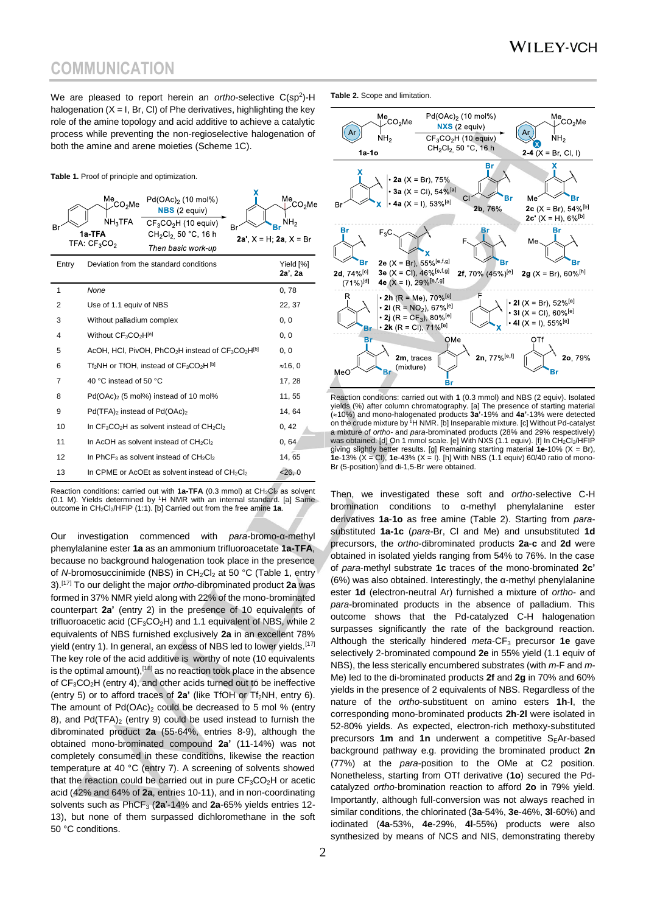We are pleased to report herein an *ortho*-selective C(sp<sup>2</sup>)-H halogenation  $(X = I, Br, Cl)$  of Phe derivatives, highlighting the key role of the amine topology and acid additive to achieve a catalytic process while preventing the non-regioselective halogenation of both the amine and arene moieties (Scheme 1C).

**Table 1.** Proof of principle and optimization.

| Br    | Me.<br>$Pd(OAc)2$ (10 mol%)<br>೦ಂೂMe<br>$NBS$ (2 equiv)<br>NH <sub>3</sub> TFA<br>$CF3CO2H$ (10 equiv)<br>1a-TFA<br>CH <sub>2</sub> Cl <sub>2.</sub> 50 °C, 16 h<br>TFA: $CF_3CO_2$<br>Then basic work-up | Βı<br>2a', $X = H$ ; 2a, $X = Br$ | Me<br>ડ⊖∍Me<br>$Br^{NH_2}$ |
|-------|-----------------------------------------------------------------------------------------------------------------------------------------------------------------------------------------------------------|-----------------------------------|----------------------------|
| Entry | Deviation from the standard conditions                                                                                                                                                                    |                                   | Yield [%]<br>2a', 2a       |
| 1     | None                                                                                                                                                                                                      |                                   | 0,78                       |
| 2     | Use of 1.1 equiv of NBS                                                                                                                                                                                   |                                   | 22, 37                     |
| 3     | Without palladium complex                                                                                                                                                                                 |                                   | 0, 0                       |
| 4     | Without $CF_3CO_2H^{[a]}$                                                                                                                                                                                 |                                   | 0, 0                       |
| 5     | AcOH, HCl, PivOH, $PhCO2H$ instead of $CF3CO2H[b]$                                                                                                                                                        |                                   | 0, 0                       |
| 6     | $Tf_2NH$ or TfOH, instead of $CF_3CO_2H^{[b]}$                                                                                                                                                            |                                   | ≈16, 0                     |
| 7     | 40 °C instead of 50 °C                                                                                                                                                                                    |                                   | 17, 28                     |
| 8     | Pd(OAc) <sub>2</sub> (5 mol%) instead of 10 mol%                                                                                                                                                          |                                   | 11, 55                     |
| 9     | Pd(TFA) <sub>2</sub> instead of Pd(OAc) <sub>2</sub>                                                                                                                                                      |                                   | 14, 64                     |
| 10    | In CF <sub>3</sub> CO <sub>2</sub> H as solvent instead of CH <sub>2</sub> CI <sub>2</sub>                                                                                                                |                                   | 0, 42                      |
| 11    | In AcOH as solvent instead of CH <sub>2</sub> CI <sub>2</sub>                                                                                                                                             |                                   | 0,64                       |
| 12    | In PhCF <sub>3</sub> as solvent instead of $CH2Cl2$                                                                                                                                                       |                                   | 14, 65                     |
| 13    | In CPME or AcOEt as solvent instead of CH <sub>2</sub> CI <sub>2</sub>                                                                                                                                    |                                   | < 26, 0                    |

Reaction conditions: carried out with **1a-TFA** (0.3 mmol) at CH<sub>2</sub>Cl<sub>2</sub> as solvent (0.1 M). Yields determined by <sup>1</sup>H NMR with an internal standard. [a] Same outcome in CH2Cl2/HFIP (1:1). [b] Carried out from the free amine **1a**.

Our investigation commenced with *para*-bromo-α-methyl phenylalanine ester **1a** as an ammonium trifluoroacetate **1a-TFA**, because no background halogenation took place in the presence of *N*-bromosuccinimide (NBS) in CH<sub>2</sub>Cl<sub>2</sub> at 50 °C (Table 1, entry 3).[17] To our delight the major *ortho*-dibrominated product **2a** was formed in 37% NMR yield along with 22% of the mono-brominated counterpart **2a'** (entry 2) in the presence of 10 equivalents of trifluoroacetic acid ( $CF_3CO_2H$ ) and 1.1 equivalent of NBS, while 2 equivalents of NBS furnished exclusively **2a** in an excellent 78% yield (entry 1). In general, an excess of NBS led to lower yields.<sup>[17]</sup> The key role of the acid additive is worthy of note (10 equivalents is the optimal amount), [18] as no reaction took place in the absence of CF3CO2H (entry 4), and other acids turned out to be ineffective (entry 5) or to afford traces of  $2a'$  (like TfOH or  $Tf_2NH$ , entry 6). The amount of  $Pd(OAc)_2$  could be decreased to 5 mol % (entry 8), and  $Pd(TFA)<sub>2</sub>$  (entry 9) could be used instead to furnish the dibrominated product **2a** (55-64%, entries 8-9), although the obtained mono-brominated compound **2a'** (11-14%) was not completely consumed in these conditions, likewise the reaction temperature at 40 °C (entry 7). A screening of solvents showed that the reaction could be carried out in pure  $CF_3CO_2H$  or acetic acid (42% and 64% of **2a**, entries 10-11), and in non-coordinating solvents such as PhCF<sub>3</sub> (2a'-14% and 2a-65% yields entries 12-13), but none of them surpassed dichloromethane in the soft 50 °C conditions.

**Table 2.** Scope and limitation.



Reaction conditions: carried out with **1** (0.3 mmol) and NBS (2 equiv). Isolated yields (%) after column chromatography. [a] The presence of starting material (10%) and mono-halogenated products **3a'**-19% and **4a'**-13% were detected on the crude mixture by <sup>1</sup>H NMR. [b] Inseparable mixture. [c] Without Pd-catalyst a mixture of *ortho-* and *para*-brominated products (28% and 29% respectively) was obtained. [d] On 1 mmol scale. [e] With NXS (1.1 equiv). [f] In CH2Cl2/HFIP giving slightly better results. [g] Remaining starting material **1e**-10% (X = Br), **1e**-13% (X = Cl), **1e**-43% (X = I). [h] With NBS (1.1 equiv) 60/40 ratio of mono-Br (5-position) and di-1,5-Br were obtained.

Then, we investigated these soft and *ortho*-selective C-H bromination conditions to α-methyl phenylalanine ester derivatives **1a**-**1o** as free amine (Table 2). Starting from *para*substituted **1a-1c** (*para*-Br, Cl and Me) and unsubstituted **1d** precursors, the *ortho*-dibrominated products **2a**-**c** and **2d** were obtained in isolated yields ranging from 54% to 76%. In the case of *para*-methyl substrate **1c** traces of the mono-brominated **2c'** (6%) was also obtained. Interestingly, the α-methyl phenylalanine ester **1d** (electron-neutral Ar) furnished a mixture of *ortho*- and *para*-brominated products in the absence of palladium. This outcome shows that the Pd-catalyzed C-H halogenation surpasses significantly the rate of the background reaction. Although the sterically hindered *meta*-CF<sub>3</sub> precursor **1e** gave selectively 2-brominated compound **2e** in 55% yield (1.1 equiv of NBS), the less sterically encumbered substrates (with *m*-F and *m*-Me) led to the di-brominated products **2f** and **2g** in 70% and 60% yields in the presence of 2 equivalents of NBS. Regardless of the nature of the *ortho*-substituent on amino esters **1h**-**l**, the corresponding mono-brominated products **2h**-**2l** were isolated in 52-80% yields. As expected, electron-rich methoxy-substituted precursors **1m** and **1n** underwent a competitive  $S<sub>E</sub>$ Ar-based background pathway e.g. providing the brominated product **2n** (77%) at the *para*-position to the OMe at C2 position. Nonetheless, starting from OTf derivative (**1o**) secured the Pdcatalyzed *ortho*-bromination reaction to afford **2o** in 79% yield. Importantly, although full-conversion was not always reached in similar conditions, the chlorinated (**3a**-54%, **3e**-46%, **3l**-60%) and iodinated (**4a**-53%, **4e**-29%, **4l**-55%) products were also synthesized by means of NCS and NIS, demonstrating thereby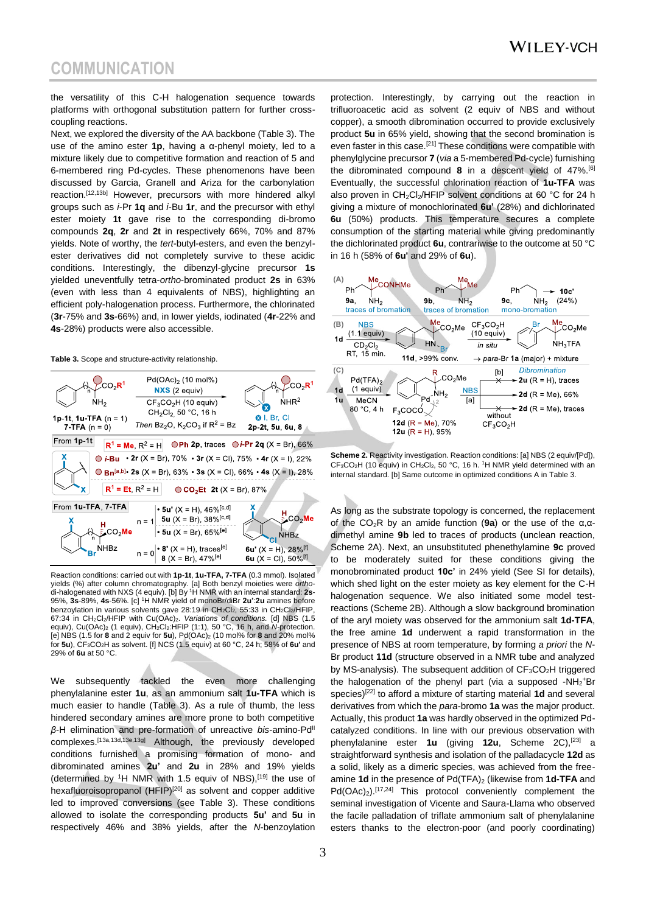the versatility of this C-H halogenation sequence towards platforms with orthogonal substitution pattern for further crosscoupling reactions.

Next, we explored the diversity of the AA backbone (Table 3). The use of the amino ester **1p**, having a α-phenyl moiety, led to a mixture likely due to competitive formation and reaction of 5 and 6-membered ring Pd-cycles. These phenomenons have been discussed by Garcia, Granell and Ariza for the carbonylation reaction.[12,13b] However, precursors with more hindered alkyl groups such as *i*-Pr **1q** and *i*-Bu **1r**, and the precursor with ethyl ester moiety **1t** gave rise to the corresponding di-bromo compounds **2q**, **2r** and **2t** in respectively 66%, 70% and 87% yields. Note of worthy, the *tert*-butyl-esters, and even the benzylester derivatives did not completely survive to these acidic conditions. Interestingly, the dibenzyl-glycine precursor **1s** yielded uneventfully tetra-*ortho*-brominated product **2s** in 63% (even with less than 4 equivalents of NBS), highlighting an efficient poly-halogenation process. Furthermore, the chlorinated (**3r**-75% and **3s**-66%) and, in lower yields, iodinated (**4r**-22% and **4s**-28%) products were also accessible.

**Table 3.** Scope and structure-activity relationship.



Reaction conditions: carried out with **1p**-**1t**, **1u-TFA, 7-TFA** (0.3 mmol). Isolated yields (%) after column chromatography. [a] Both benzyl moieties were *ortho*-di-halogenated with NXS (4 equiv). [b] By <sup>1</sup>H NMR with an internal standard: **2s**-95%, **3s**-89%, **4s**-56%. [c] <sup>1</sup>H NMR yield of monoBr/diBr **2u'**:**2u** amines before benzoylation in various solvents gave 28:19 in CH<sub>2</sub>Cl<sub>2</sub>, 55:33 in CH<sub>2</sub>Cl<sub>2</sub>/HFIP. 67:34 in CH2Cl2/HFIP with Cu(OAc)2. *Variations of conditions.* [d] NBS (1.5 equiv), Cu(OAc)<sub>2</sub> (1 equiv), CH<sub>2</sub>Cl<sub>2</sub>:HFIP (1:1), 50 °C, 16 h, and *N*-protection. [e] NBS (1.5 for **8** and 2 equiv for **5u**), Pd(OAc)<sup>2</sup> (10 mol% for **8** and 20% mol% for **5u**), CF3CO2H as solvent. [f] NCS (1.5 equiv) at 60 °C, 24 h; 58% of **6u'** and 29% of **6u** at 50 °C.

We subsequently tackled the even more challenging phenylalanine ester **1u**, as an ammonium salt **1u-TFA** which is much easier to handle (Table 3). As a rule of thumb, the less hindered secondary amines are more prone to both competitive *β*-H elimination and pre-formation of unreactive *bis*-amino-Pd<sup>II</sup> complexes.[13a,13d,13e,13g] Although, the previously developed conditions furnished a promising formation of mono- and dibrominated amines **2u'** and **2u** in 28% and 19% yields (determined by  $1H$  NMR with 1.5 equiv of NBS),  $[19]$  the use of hexafluoroisopropanol (HFIP)<sup>[20]</sup> as solvent and copper additive led to improved conversions (see Table 3). These conditions allowed to isolate the corresponding products **5u'** and **5u** in respectively 46% and 38% yields, after the *N*-benzoylation

protection. Interestingly, by carrying out the reaction in trifluoroacetic acid as solvent (2 equiv of NBS and without copper), a smooth dibromination occurred to provide exclusively product **5u** in 65% yield, showing that the second bromination is even faster in this case.<sup>[21]</sup> These conditions were compatible with phenylglycine precursor **7** (*via* a 5-membered Pd-cycle) furnishing the dibrominated compound **8** in a descent yield of 47%.[6] Eventually, the successful chlorination reaction of **1u-TFA** was also proven in  $CH_2Cl_2/HFIP$  solvent conditions at 60 °C for 24 h giving a mixture of monochlorinated **6u'** (28%) and dichlorinated **6u** (50%) products. This temperature secures a complete consumption of the starting material while giving predominantly the dichlorinated product **6u**, contrariwise to the outcome at 50 °C in 16 h (58% of **6u'** and 29% of **6u**).



**Scheme 2.** Reactivity investigation. Reaction conditions: [a] NBS (2 equiv/[Pd]),  $CF_3CO_2H$  (10 equiv) in  $CH_2Cl_2$ , 50 °C, 16 h. <sup>1</sup>H NMR yield determined with an internal standard. [b] Same outcome in optimized conditions A in Table 3.

As long as the substrate topology is concerned, the replacement of the CO2R by an amide function (**9a**) or the use of the α,αdimethyl amine **9b** led to traces of products (unclean reaction, Scheme 2A). Next, an unsubstituted phenethylamine **9c** proved to be moderately suited for these conditions giving the monobrominated product **10c'** in 24% yield (See SI for details), which shed light on the ester moiety as key element for the C-H halogenation sequence. We also initiated some model testreactions (Scheme 2B). Although a slow background bromination of the aryl moiety was observed for the ammonium salt **1d-TFA**, the free amine **1d** underwent a rapid transformation in the presence of NBS at room temperature, by forming *a priori* the *N*-Br product **11d** (structure observed in a NMR tube and analyzed by MS-analysis). The subsequent addition of  $CF<sub>3</sub>CO<sub>2</sub>H$  triggered the halogenation of the phenyl part (via a supposed -NH<sub>2</sub>+Br species)[22] to afford a mixture of starting material **1d** and several derivatives from which the *para*-bromo **1a** was the major product. Actually, this product **1a** was hardly observed in the optimized Pdcatalyzed conditions. In line with our previous observation with phenylalanine ester **1u** (giving **12u**, Scheme 2C),[23] a straightforward synthesis and isolation of the palladacycle **12d** as a solid, likely as a dimeric species, was achieved from the freeamine **1d** in the presence of Pd(TFA)<sub>2</sub> (likewise from **1d-TFA** and Pd(OAc)<sub>2</sub>).<sup>[17,24]</sup> This protocol conveniently complement the seminal investigation of Vicente and Saura-Llama who observed the facile palladation of triflate ammonium salt of phenylalanine esters thanks to the electron-poor (and poorly coordinating)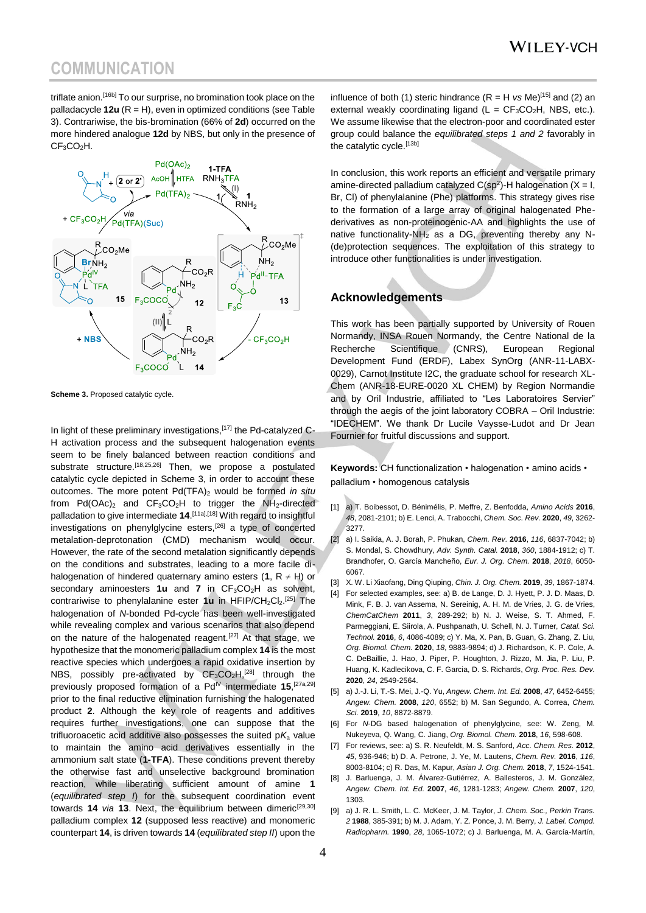triflate anion.[16b] To our surprise, no bromination took place on the palladacycle **12u** (R = H), even in optimized conditions (see Table 3). Contrariwise, the bis-bromination (66% of **2d**) occurred on the more hindered analogue **12d** by NBS, but only in the presence of  $CF<sub>3</sub>CO<sub>2</sub>H.$ 



**Scheme 3. Proposed catalytic cycle.** 

In light of these preliminary investigations, [17] the Pd-catalyzed C-H activation process and the subsequent halogenation events seem to be finely balanced between reaction conditions and substrate structure.<sup>[18,25,26]</sup> Then, we propose a postulated catalytic cycle depicted in Scheme 3, in order to account these outcomes. The more potent Pd(TFA)<sup>2</sup> would be formed *in situ* from  $Pd(OAc)_2$  and  $CF_3CO_2H$  to trigger the NH<sub>2</sub>-directed palladation to give intermediate 14.<sup>[11a],[18]</sup> With regard to insightful investigations on phenylglycine esters,[26] a type of concerted metalation-deprotonation (CMD) mechanism would occur. However, the rate of the second metalation significantly depends on the conditions and substrates, leading to a more facile dihalogenation of hindered quaternary amino esters  $(1, R \neq H)$  or secondary aminoesters 1u and 7 in CF<sub>3</sub>CO<sub>2</sub>H as solvent, contrariwise to phenylalanine ester 1u in HFIP/CH<sub>2</sub>Cl<sub>2</sub>.<sup>[25]</sup> The halogenation of *N*-bonded Pd-cycle has been well-investigated while revealing complex and various scenarios that also depend on the nature of the halogenated reagent.<sup>[27]</sup> At that stage, we hypothesize that the monomeric palladium complex **14** is the most reactive species which undergoes a rapid oxidative insertion by NBS, possibly pre-activated by CF<sub>3</sub>CO<sub>2</sub>H<sub>2</sub><sup>[28]</sup> through the previously proposed formation of a Pd<sup>IV</sup> intermediate 15,<sup>[27a,29]</sup> prior to the final reductive elimination furnishing the halogenated product **2**. Although the key role of reagents and additives requires further investigations, one can suppose that the trifluoroacetic acid additive also possesses the suited  $pK<sub>a</sub>$  value to maintain the amino acid derivatives essentially in the ammonium salt state (**1-TFA**). These conditions prevent thereby the otherwise fast and unselective background bromination reaction, while liberating sufficient amount of amine **1** (*equilibrated step I*) for the subsequent coordination event towards **14** *via* **13**. Next, the equilibrium between dimeric<sup>[29,30]</sup> palladium complex **12** (supposed less reactive) and monomeric counterpart **14**, is driven towards **14** (*equilibrated step II*) upon the

influence of both (1) steric hindrance  $(R = H \text{ vs } Me)^{[15]}$  and (2) an external weakly coordinating ligand  $(L = CF<sub>3</sub>CO<sub>2</sub>H, NBS, etc.).$ We assume likewise that the electron-poor and coordinated ester group could balance the *equilibrated steps 1 and 2* favorably in the catalytic cycle.<sup>[13b]</sup>

In conclusion, this work reports an efficient and versatile primary amine-directed palladium catalyzed  $C(sp^2)$ -H halogenation  $(X = I, I)$ Br, Cl) of phenylalanine (Phe) platforms. This strategy gives rise to the formation of a large array of original halogenated Phederivatives as non-proteinogenic-AA and highlights the use of native functionality-NH<sub>2</sub> as a DG, preventing thereby any N-(de)protection sequences. The exploitation of this strategy to introduce other functionalities is under investigation.

#### **Acknowledgements**

This work has been partially supported by University of Rouen Normandy, INSA Rouen Normandy, the Centre National de la Recherche Scientifique (CNRS), European Regional Development Fund (ERDF), Labex SynOrg (ANR-11-LABX-0029), Carnot Institute I2C, the graduate school for research XL-Chem (ANR-18-EURE-0020 XL CHEM) by Region Normandie and by Oril Industrie, affiliated to "Les Laboratoires Servier" through the aegis of the joint laboratory COBRA – Oril Industrie: "IDECHEM". We thank Dr Lucile Vaysse-Ludot and Dr Jean Fournier for fruitful discussions and support.

**Keywords:** CH functionalization • halogenation • amino acids • palladium • homogenous catalysis

- [1] a) T. Boibessot, D. Bénimélis, P. Meffre, Z. Benfodda, *Amino Acids* **2016**, *48*, 2081-2101; b) E. Lenci, A. Trabocchi, *Chem. Soc. Rev.* **2020**, *49*, 3262- 3277.
- [2] a) I. Saikia, A. J. Borah, P. Phukan, *Chem. Rev.* **2016**, *116*, 6837-7042; b) S. Mondal, S. Chowdhury, *Adv. Synth. Catal.* **2018**, *360*, 1884-1912; c) T. Brandhofer, O. García Mancheño, *Eur. J. Org. Chem.* **2018**, *2018*, 6050- 6067.
- [3] X. W. Li Xiaofang, Ding Qiuping, *Chin. J. Org. Chem.* **2019**, *39*, 1867-1874.
- [4] For selected examples, see: a) B. de Lange, D. J. Hyett, P. J. D. Maas, D. Mink, F. B. J. van Assema, N. Sereinig, A. H. M. de Vries, J. G. de Vries, *ChemCatChem* **2011**, *3*, 289-292; b) N. J. Weise, S. T. Ahmed, F. Parmeggiani, E. Siirola, A. Pushpanath, U. Schell, N. J. Turner, *Catal. Sci. Technol.* **2016**, *6*, 4086-4089; c) Y. Ma, X. Pan, B. Guan, G. Zhang, Z. Liu, *Org. Biomol. Chem.* **2020**, *18*, 9883-9894; d) J. Richardson, K. P. Cole, A. C. DeBaillie, J. Hao, J. Piper, P. Houghton, J. Rizzo, M. Jia, P. Liu, P. Huang, K. Kadlecikova, C. F. Garcia, D. S. Richards, *Org. Proc. Res. Dev.*  **2020**, *24*, 2549-2564.
- [5] a) J.-J. Li, T.-S. Mei, J.-Q. Yu, *Angew. Chem. Int. Ed.* **2008**, *47*, 6452-6455; *Angew. Chem.* **2008**, *120*, 6552; b) M. San Segundo, A. Correa, *Chem. Sci.* **2019**, *10*, 8872-8879.
- [6] For *N*-DG based halogenation of phenylglycine, see: W. Zeng, M. Nukeyeva, Q. Wang, C. Jiang, *Org. Biomol. Chem.* **2018**, *16*, 598-608.
- [7] For reviews, see: a) S. R. Neufeldt, M. S. Sanford, *Acc. Chem. Res.* **2012**, *45*, 936-946; b) D. A. Petrone, J. Ye, M. Lautens, *Chem. Rev.* **2016**, *116*, 8003-8104; c) R. Das, M. Kapur, *Asian J. Org. Chem.* **2018**, *7*, 1524-1541.
- [8] J. Barluenga, J. M. Álvarez-Gutiérrez, A. Ballesteros, J. M. González, *Angew. Chem. Int. Ed.* **2007**, *46*, 1281-1283; *Angew. Chem.* **2007**, *120*, 1303.
- [9] a) J. R. L. Smith, L. C. McKeer, J. M. Taylor, *J. Chem. Soc., Perkin Trans. 2* **1988**, 385-391; b) M. J. Adam, Y. Z. Ponce, J. M. Berry, *J. Label. Compd. Radiopharm.* **1990**, *28*, 1065-1072; c) J. Barluenga, M. A. García-Martín,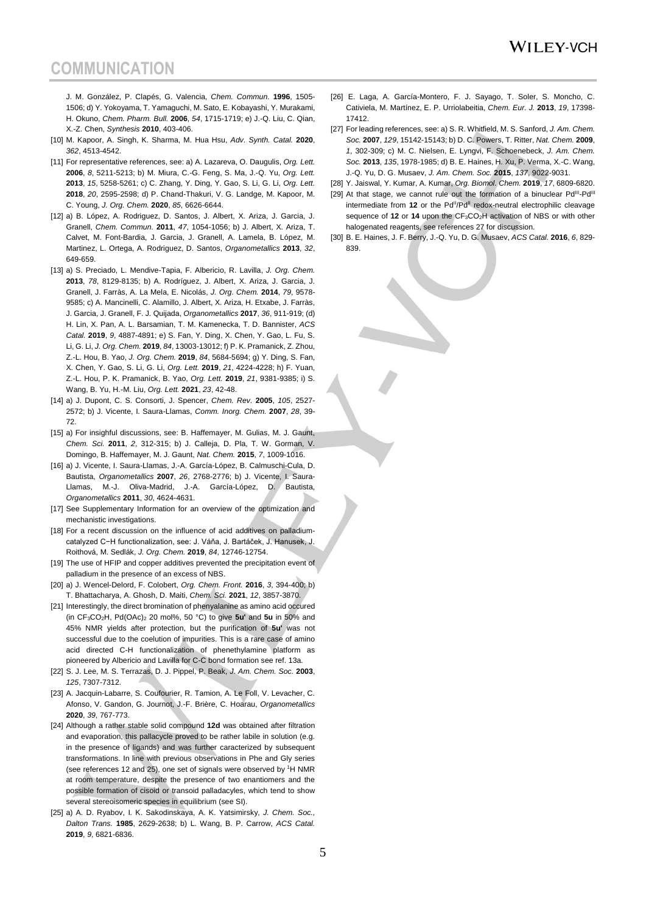J. M. González, P. Clapés, G. Valencia, *Chem. Commun.* **1996**, 1505- 1506; d) Y. Yokoyama, T. Yamaguchi, M. Sato, E. Kobayashi, Y. Murakami, H. Okuno, *Chem. Pharm. Bull.* **2006**, *54*, 1715-1719; e) J.-Q. Liu, C. Qian, X.-Z. Chen, *Synthesis* **2010**, 403-406.

- [10] M. Kapoor, A. Singh, K. Sharma, M. Hua Hsu, *Adv. Synth. Catal.* **2020**, *362*, 4513-4542.
- [11] For representative references, see: a) A. Lazareva, O. Daugulis, *Org. Lett.*  **2006**, *8*, 5211-5213; b) M. Miura, C.-G. Feng, S. Ma, J.-Q. Yu, *Org. Lett.*  **2013**, *15*, 5258-5261; c) C. Zhang, Y. Ding, Y. Gao, S. Li, G. Li, *Org. Lett.*  **2018**, *20*, 2595-2598; d) P. Chand-Thakuri, V. G. Landge, M. Kapoor, M. C. Young, *J. Org. Chem.* **2020**, *85*, 6626-6644.
- [12] a) B. López, A. Rodriguez, D. Santos, J. Albert, X. Ariza, J. Garcia, J. Granell, *Chem. Commun.* **2011**, *47*, 1054-1056; b) J. Albert, X. Ariza, T. Calvet, M. Font-Bardia, J. Garcia, J. Granell, A. Lamela, B. López, M. Martinez, L. Ortega, A. Rodriguez, D. Santos, *Organometallics* **2013**, *32*, 649-659.
- [13] a) S. Preciado, L. Mendive-Tapia, F. Albericio, R. Lavilla, *J. Org. Chem.*  **2013**, *78*, 8129-8135; b) A. Rodríguez, J. Albert, X. Ariza, J. Garcia, J. Granell, J. Farràs, A. La Mela, E. Nicolás, *J. Org. Chem.* **2014**, *79*, 9578- 9585; c) A. Mancinelli, C. Alamillo, J. Albert, X. Ariza, H. Etxabe, J. Farràs, J. Garcia, J. Granell, F. J. Quijada, *Organometallics* **2017**, *36*, 911-919; (d) H. Lin, X. Pan, A. L. Barsamian, T. M. Kamenecka, T. D. Bannister, *ACS Catal.* **2019**, *9*, 4887-4891; e) S. Fan, Y. Ding, X. Chen, Y. Gao, L. Fu, S. Li, G. Li, *J. Org. Chem.* **2019**, *84*, 13003-13012; f) P. K. Pramanick, Z. Zhou, Z.-L. Hou, B. Yao, *J. Org. Chem.* **2019**, *84*, 5684-5694; g) Y. Ding, S. Fan, X. Chen, Y. Gao, S. Li, G. Li, *Org. Lett.* **2019**, *21*, 4224-4228; h) F. Yuan, Z.-L. Hou, P. K. Pramanick, B. Yao, *Org. Lett.* **2019**, *21*, 9381-9385; i) S. Wang, B. Yu, H.-M. Liu, *Org. Lett.* **2021**, *23*, 42-48.
- [14] a) J. Dupont, C. S. Consorti, J. Spencer, *Chem. Rev.* **2005**, *105*, 2527- 2572; b) J. Vicente, I. Saura-Llamas, *Comm. Inorg. Chem.* **2007**, *28*, 39- 72.
- [15] a) For insighful discussions, see: B. Haffemayer, M. Gulias, M. J. Gaunt, *Chem. Sci.* **2011**, *2*, 312-315; b) J. Calleja, D. Pla, T. W. Gorman, V. Domingo, B. Haffemayer, M. J. Gaunt, *Nat. Chem.* **2015**, *7*, 1009-1016.
- [16] a) J. Vicente, I. Saura-Llamas, J.-A. García-López, B. Calmuschi-Cula, D. Bautista, *Organometallics* **2007**, *26*, 2768-2776; b) J. Vicente, I. Saura-Llamas, M.-J. Oliva-Madrid, J.-A. García-López, D. Bautista, *Organometallics* **2011**, *30*, 4624-4631.
- [17] See Supplementary Information for an overview of the optimization and mechanistic investigations.
- [18] For a recent discussion on the influence of acid additives on palladiumcatalyzed C−H functionalization, see: J. Váňa, J. Bartáček, J. Hanusek, J. Roithová, M. Sedlák, *J. Org. Chem.* **2019**, *84*, 12746-12754.
- [19] The use of HFIP and copper additives prevented the precipitation event of palladium in the presence of an excess of NBS.
- [20] a) J. Wencel-Delord, F. Colobert, *Org. Chem. Front.* **2016**, *3*, 394-400; b) T. Bhattacharya, A. Ghosh, D. Maiti, *Chem. Sci.* **2021**, *12*, 3857-3870.
- [21] Interestingly, the direct bromination of phenyalanine as amino acid occured (in CF3CO2H, Pd(OAc)<sup>2</sup> 20 mol%, 50 °C) to give **5u'** and **5u** in 50% and 45% NMR yields after protection, but the purification of **5u'** was not successful due to the coelution of impurities. This is a rare case of amino acid directed C-H functionalization of phenethylamine platform as pioneered by Albericio and Lavilla for C-C bond formation see ref. 13a.
- [22] S. J. Lee, M. S. Terrazas, D. J. Pippel, P. Beak, *J. Am. Chem. Soc.* **2003**, *125*, 7307-7312.
- [23] A. Jacquin-Labarre, S. Coufourier, R. Tamion, A. Le Foll, V. Levacher, C. Afonso, V. Gandon, G. Journot, J.-F. Brière, C. Hoarau, *Organometallics*  **2020**, *39*, 767-773.
- [24] Although a rather stable solid compound **12d** was obtained after filtration and evaporation, this pallacycle proved to be rather labile in solution (e.g. in the presence of ligands) and was further caracterized by subsequent transformations. In line with previous observations in Phe and Gly series (see references 12 and 25), one set of signals were observed by <sup>1</sup>H NMR at room temperature, despite the presence of two enantiomers and the possible formation of cisoid or transoid palladacyles, which tend to show several stereoisomeric species in equilibrium (see SI).
- [25] a) A. D. Ryabov, I. K. Sakodinskaya, A. K. Yatsimirsky, *J. Chem. Soc., Dalton Trans.* **1985**, 2629-2638; b) L. Wang, B. P. Carrow, *ACS Catal.*  **2019**, *9*, 6821-6836.
- [26] E. Laga, A. García-Montero, F. J. Sayago, T. Soler, S. Moncho, C. Cativiela, M. Martínez, E. P. Urriolabeitia, *Chem. Eur. J.* **2013**, *19*, 17398- 17412.
- [27] For leading references, see: a) S. R. Whitfield, M. S. Sanford, *J. Am. Chem. Soc.* **2007**, *129*, 15142-15143; b) D. C. Powers, T. Ritter, *Nat. Chem.* **2009**, *1*, 302-309; c) M. C. Nielsen, E. Lyngvi, F. Schoenebeck, *J. Am. Chem. Soc.* **2013**, *135*, 1978-1985; d) B. E. Haines, H. Xu, P. Verma, X.-C. Wang, J.-Q. Yu, D. G. Musaev, *J. Am. Chem. Soc.* **2015**, *137*, 9022-9031.
- [28] Y. Jaiswal, Y. Kumar, A. Kumar, *Org. Biomol. Chem.* **2019**, *17*, 6809-6820.
- [29] At that stage, we cannot rule out the formation of a binuclear Pd<sup>III</sup>-Pd<sup>II</sup> intermediate from 12 or the Pd<sup>II</sup>/Pd<sup>II</sup> redox-neutral electrophilic cleavage sequence of 12 or 14 upon the CF<sub>3</sub>CO<sub>2</sub>H activation of NBS or with other halogenated reagents, see references 27 for discussion.
- [30] B. E. Haines, J. F. Berry, J.-Q. Yu, D. G. Musaev, *ACS Catal.* **2016**, *6*, 829- 839.